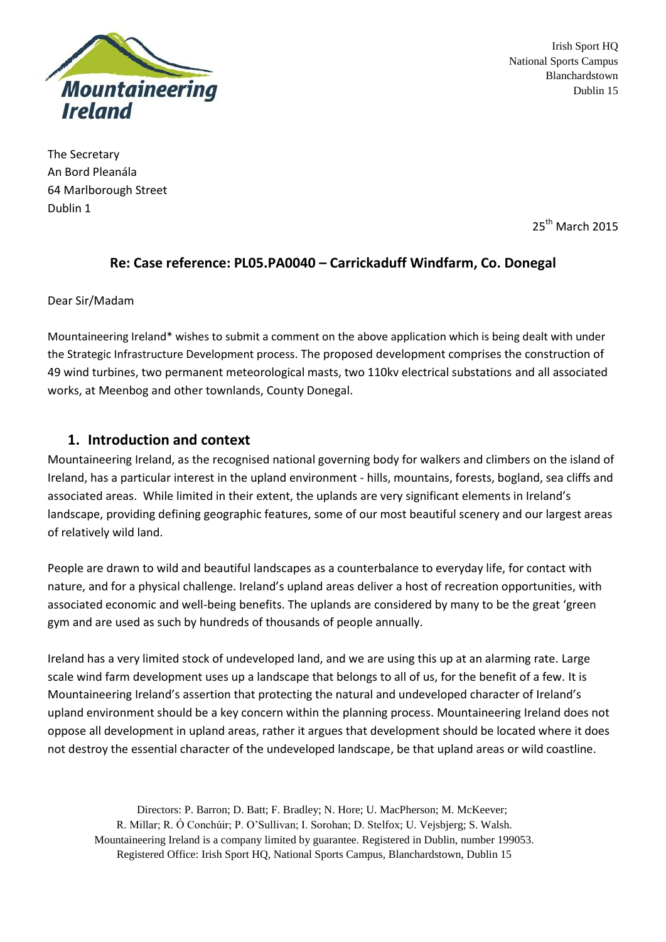

Irish Sport HQ National Sports Campus Blanchardstown Dublin 15

The Secretary An Bord Pleanála 64 Marlborough Street Dublin 1

25<sup>th</sup> March 2015

## **Re: Case reference: PL05.PA0040 – Carrickaduff Windfarm, Co. Donegal**

Dear Sir/Madam

Mountaineering Ireland\* wishes to submit a comment on the above application which is being dealt with under the Strategic Infrastructure Development process. The proposed development comprises the construction of 49 wind turbines, two permanent meteorological masts, two 110kv electrical substations and all associated works, at Meenbog and other townlands, County Donegal.

### **1. Introduction and context**

Mountaineering Ireland, as the recognised national governing body for walkers and climbers on the island of Ireland, has a particular interest in the upland environment - hills, mountains, forests, bogland, sea cliffs and associated areas. While limited in their extent, the uplands are very significant elements in Ireland's landscape, providing defining geographic features, some of our most beautiful scenery and our largest areas of relatively wild land.

People are drawn to wild and beautiful landscapes as a counterbalance to everyday life, for contact with nature, and for a physical challenge. Ireland's upland areas deliver a host of recreation opportunities, with associated economic and well-being benefits. The uplands are considered by many to be the great 'green gym and are used as such by hundreds of thousands of people annually.

Ireland has a very limited stock of undeveloped land, and we are using this up at an alarming rate. Large scale wind farm development uses up a landscape that belongs to all of us, for the benefit of a few. It is Mountaineering Ireland's assertion that protecting the natural and undeveloped character of Ireland's upland environment should be a key concern within the planning process. Mountaineering Ireland does not oppose all development in upland areas, rather it argues that development should be located where it does not destroy the essential character of the undeveloped landscape, be that upland areas or wild coastline.

Directors: P. Barron; D. Batt; F. Bradley; N. Hore; U. MacPherson; M. McKeever; R. Millar; R. Ó Conchúir; P. O'Sullivan; I. Sorohan; D. Stelfox; U. Vejsbjerg; S. Walsh. Mountaineering Ireland is a company limited by guarantee. Registered in Dublin, number 199053. Registered Office: Irish Sport HQ, National Sports Campus, Blanchardstown, Dublin 15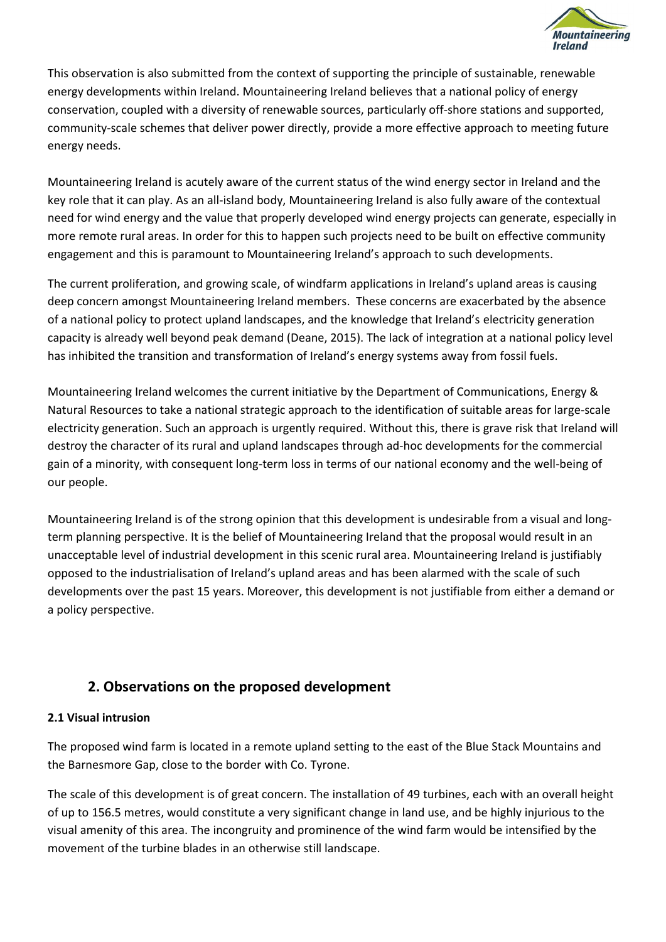

This observation is also submitted from the context of supporting the principle of sustainable, renewable energy developments within Ireland. Mountaineering Ireland believes that a national policy of energy conservation, coupled with a diversity of renewable sources, particularly off-shore stations and supported, community-scale schemes that deliver power directly, provide a more effective approach to meeting future energy needs.

Mountaineering Ireland is acutely aware of the current status of the wind energy sector in Ireland and the key role that it can play. As an all-island body, Mountaineering Ireland is also fully aware of the contextual need for wind energy and the value that properly developed wind energy projects can generate, especially in more remote rural areas. In order for this to happen such projects need to be built on effective community engagement and this is paramount to Mountaineering Ireland's approach to such developments.

The current proliferation, and growing scale, of windfarm applications in Ireland's upland areas is causing deep concern amongst Mountaineering Ireland members. These concerns are exacerbated by the absence of a national policy to protect upland landscapes, and the knowledge that Ireland's electricity generation capacity is already well beyond peak demand (Deane, 2015). The lack of integration at a national policy level has inhibited the transition and transformation of Ireland's energy systems away from fossil fuels.

Mountaineering Ireland welcomes the current initiative by the Department of Communications, Energy & Natural Resources to take a national strategic approach to the identification of suitable areas for large-scale electricity generation. Such an approach is urgently required. Without this, there is grave risk that Ireland will destroy the character of its rural and upland landscapes through ad-hoc developments for the commercial gain of a minority, with consequent long-term loss in terms of our national economy and the well-being of our people.

Mountaineering Ireland is of the strong opinion that this development is undesirable from a visual and longterm planning perspective. It is the belief of Mountaineering Ireland that the proposal would result in an unacceptable level of industrial development in this scenic rural area. Mountaineering Ireland is justifiably opposed to the industrialisation of Ireland's upland areas and has been alarmed with the scale of such developments over the past 15 years. Moreover, this development is not justifiable from either a demand or a policy perspective.

# **2. Observations on the proposed development**

### **2.1 Visual intrusion**

The proposed wind farm is located in a remote upland setting to the east of the Blue Stack Mountains and the Barnesmore Gap, close to the border with Co. Tyrone.

The scale of this development is of great concern. The installation of 49 turbines, each with an overall height of up to 156.5 metres, would constitute a very significant change in land use, and be highly injurious to the visual amenity of this area. The incongruity and prominence of the wind farm would be intensified by the movement of the turbine blades in an otherwise still landscape.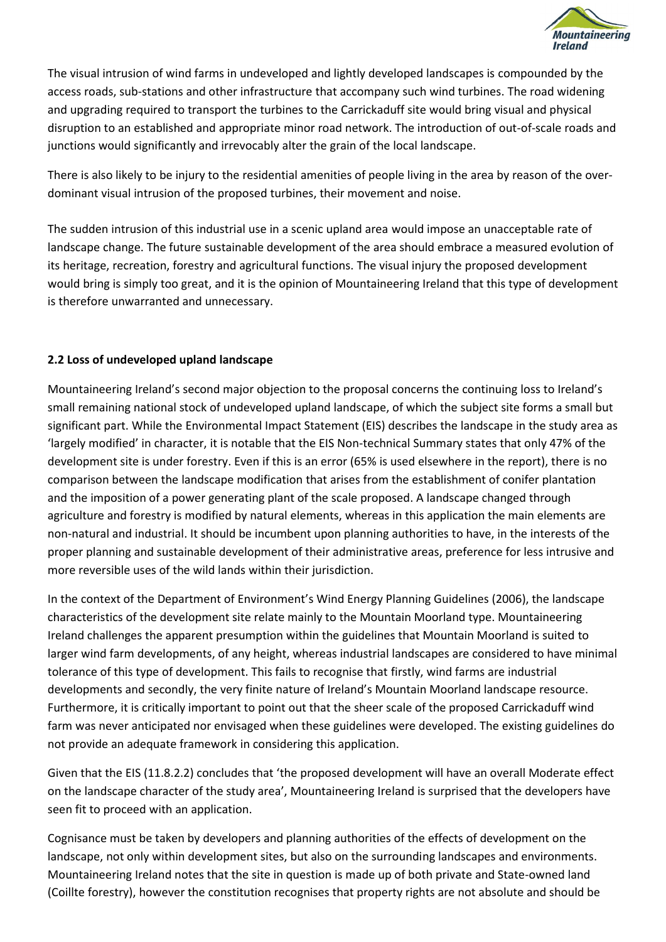

The visual intrusion of wind farms in undeveloped and lightly developed landscapes is compounded by the access roads, sub-stations and other infrastructure that accompany such wind turbines. The road widening and upgrading required to transport the turbines to the Carrickaduff site would bring visual and physical disruption to an established and appropriate minor road network. The introduction of out-of-scale roads and junctions would significantly and irrevocably alter the grain of the local landscape.

There is also likely to be injury to the residential amenities of people living in the area by reason of the overdominant visual intrusion of the proposed turbines, their movement and noise.

The sudden intrusion of this industrial use in a scenic upland area would impose an unacceptable rate of landscape change. The future sustainable development of the area should embrace a measured evolution of its heritage, recreation, forestry and agricultural functions. The visual injury the proposed development would bring is simply too great, and it is the opinion of Mountaineering Ireland that this type of development is therefore unwarranted and unnecessary.

### **2.2 Loss of undeveloped upland landscape**

Mountaineering Ireland's second major objection to the proposal concerns the continuing loss to Ireland's small remaining national stock of undeveloped upland landscape, of which the subject site forms a small but significant part. While the Environmental Impact Statement (EIS) describes the landscape in the study area as 'largely modified' in character, it is notable that the EIS Non-technical Summary states that only 47% of the development site is under forestry. Even if this is an error (65% is used elsewhere in the report), there is no comparison between the landscape modification that arises from the establishment of conifer plantation and the imposition of a power generating plant of the scale proposed. A landscape changed through agriculture and forestry is modified by natural elements, whereas in this application the main elements are non-natural and industrial. It should be incumbent upon planning authorities to have, in the interests of the proper planning and sustainable development of their administrative areas, preference for less intrusive and more reversible uses of the wild lands within their jurisdiction.

In the context of the Department of Environment's Wind Energy Planning Guidelines (2006), the landscape characteristics of the development site relate mainly to the Mountain Moorland type. Mountaineering Ireland challenges the apparent presumption within the guidelines that Mountain Moorland is suited to larger wind farm developments, of any height, whereas industrial landscapes are considered to have minimal tolerance of this type of development. This fails to recognise that firstly, wind farms are industrial developments and secondly, the very finite nature of Ireland's Mountain Moorland landscape resource. Furthermore, it is critically important to point out that the sheer scale of the proposed Carrickaduff wind farm was never anticipated nor envisaged when these guidelines were developed. The existing guidelines do not provide an adequate framework in considering this application.

Given that the EIS (11.8.2.2) concludes that 'the proposed development will have an overall Moderate effect on the landscape character of the study area', Mountaineering Ireland is surprised that the developers have seen fit to proceed with an application.

Cognisance must be taken by developers and planning authorities of the effects of development on the landscape, not only within development sites, but also on the surrounding landscapes and environments. Mountaineering Ireland notes that the site in question is made up of both private and State-owned land (Coillte forestry), however the constitution recognises that property rights are not absolute and should be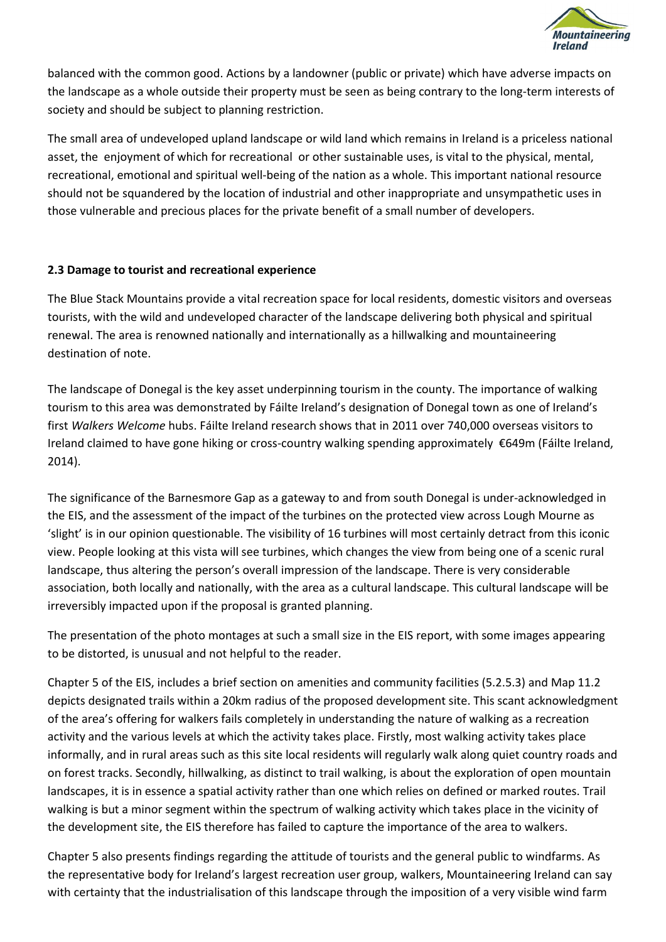

balanced with the common good. Actions by a landowner (public or private) which have adverse impacts on the landscape as a whole outside their property must be seen as being contrary to the long-term interests of society and should be subject to planning restriction.

The small area of undeveloped upland landscape or wild land which remains in Ireland is a priceless national asset, the enjoyment of which for recreational or other sustainable uses, is vital to the physical, mental, recreational, emotional and spiritual well-being of the nation as a whole. This important national resource should not be squandered by the location of industrial and other inappropriate and unsympathetic uses in those vulnerable and precious places for the private benefit of a small number of developers.

#### **2.3 Damage to tourist and recreational experience**

The Blue Stack Mountains provide a vital recreation space for local residents, domestic visitors and overseas tourists, with the wild and undeveloped character of the landscape delivering both physical and spiritual renewal. The area is renowned nationally and internationally as a hillwalking and mountaineering destination of note.

The landscape of Donegal is the key asset underpinning tourism in the county. The importance of walking tourism to this area was demonstrated by Fáilte Ireland's designation of Donegal town as one of Ireland's first *Walkers Welcome* hubs. Fáilte Ireland research shows that in 2011 over 740,000 overseas visitors to Ireland claimed to have gone hiking or cross-country walking spending approximately €649m (Fáilte Ireland, 2014).

The significance of the Barnesmore Gap as a gateway to and from south Donegal is under-acknowledged in the EIS, and the assessment of the impact of the turbines on the protected view across Lough Mourne as 'slight' is in our opinion questionable. The visibility of 16 turbines will most certainly detract from this iconic view. People looking at this vista will see turbines, which changes the view from being one of a scenic rural landscape, thus altering the person's overall impression of the landscape. There is very considerable association, both locally and nationally, with the area as a cultural landscape. This cultural landscape will be irreversibly impacted upon if the proposal is granted planning.

The presentation of the photo montages at such a small size in the EIS report, with some images appearing to be distorted, is unusual and not helpful to the reader.

Chapter 5 of the EIS, includes a brief section on amenities and community facilities (5.2.5.3) and Map 11.2 depicts designated trails within a 20km radius of the proposed development site. This scant acknowledgment of the area's offering for walkers fails completely in understanding the nature of walking as a recreation activity and the various levels at which the activity takes place. Firstly, most walking activity takes place informally, and in rural areas such as this site local residents will regularly walk along quiet country roads and on forest tracks. Secondly, hillwalking, as distinct to trail walking, is about the exploration of open mountain landscapes, it is in essence a spatial activity rather than one which relies on defined or marked routes. Trail walking is but a minor segment within the spectrum of walking activity which takes place in the vicinity of the development site, the EIS therefore has failed to capture the importance of the area to walkers.

Chapter 5 also presents findings regarding the attitude of tourists and the general public to windfarms. As the representative body for Ireland's largest recreation user group, walkers, Mountaineering Ireland can say with certainty that the industrialisation of this landscape through the imposition of a very visible wind farm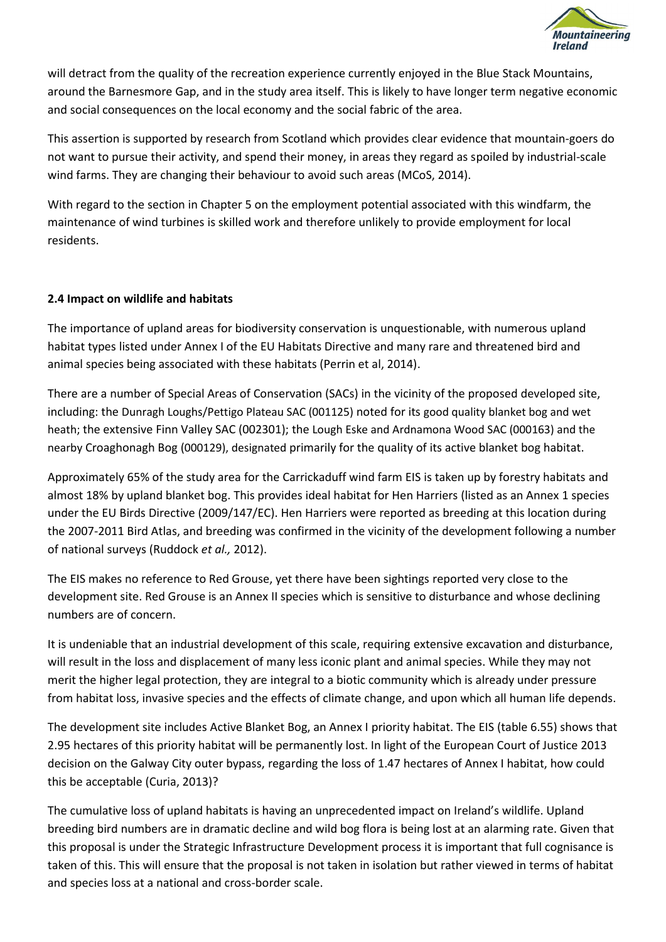

will detract from the quality of the recreation experience currently enjoyed in the Blue Stack Mountains, around the Barnesmore Gap, and in the study area itself. This is likely to have longer term negative economic and social consequences on the local economy and the social fabric of the area.

This assertion is supported by research from Scotland which provides clear evidence that mountain-goers do not want to pursue their activity, and spend their money, in areas they regard as spoiled by industrial-scale wind farms. They are changing their behaviour to avoid such areas (MCoS, 2014).

With regard to the section in Chapter 5 on the employment potential associated with this windfarm, the maintenance of wind turbines is skilled work and therefore unlikely to provide employment for local residents.

#### **2.4 Impact on wildlife and habitats**

The importance of upland areas for biodiversity conservation is unquestionable, with numerous upland habitat types listed under Annex I of the EU Habitats Directive and many rare and threatened bird and animal species being associated with these habitats (Perrin et al, 2014).

There are a number of Special Areas of Conservation (SACs) in the vicinity of the proposed developed site, including: the Dunragh Loughs/Pettigo Plateau SAC (001125) noted for its good quality blanket bog and wet heath; the extensive Finn Valley SAC (002301); the Lough Eske and Ardnamona Wood SAC (000163) and the nearby Croaghonagh Bog (000129), designated primarily for the quality of its active blanket bog habitat.

Approximately 65% of the study area for the Carrickaduff wind farm EIS is taken up by forestry habitats and almost 18% by upland blanket bog. This provides ideal habitat for Hen Harriers (listed as an Annex 1 species under the EU Birds Directive (2009/147/EC). Hen Harriers were reported as breeding at this location during the 2007-2011 Bird Atlas, and breeding was confirmed in the vicinity of the development following a number of national surveys (Ruddock *et al.,* 2012).

The EIS makes no reference to Red Grouse, yet there have been sightings reported very close to the development site. Red Grouse is an Annex II species which is sensitive to disturbance and whose declining numbers are of concern.

It is undeniable that an industrial development of this scale, requiring extensive excavation and disturbance, will result in the loss and displacement of many less iconic plant and animal species. While they may not merit the higher legal protection, they are integral to a biotic community which is already under pressure from habitat loss, invasive species and the effects of climate change, and upon which all human life depends.

The development site includes Active Blanket Bog, an Annex I priority habitat. The EIS (table 6.55) shows that 2.95 hectares of this priority habitat will be permanently lost. In light of the European Court of Justice 2013 decision on the Galway City outer bypass, regarding the loss of 1.47 hectares of Annex I habitat, how could this be acceptable (Curia, 2013)?

The cumulative loss of upland habitats is having an unprecedented impact on Ireland's wildlife. Upland breeding bird numbers are in dramatic decline and wild bog flora is being lost at an alarming rate. Given that this proposal is under the Strategic Infrastructure Development process it is important that full cognisance is taken of this. This will ensure that the proposal is not taken in isolation but rather viewed in terms of habitat and species loss at a national and cross-border scale.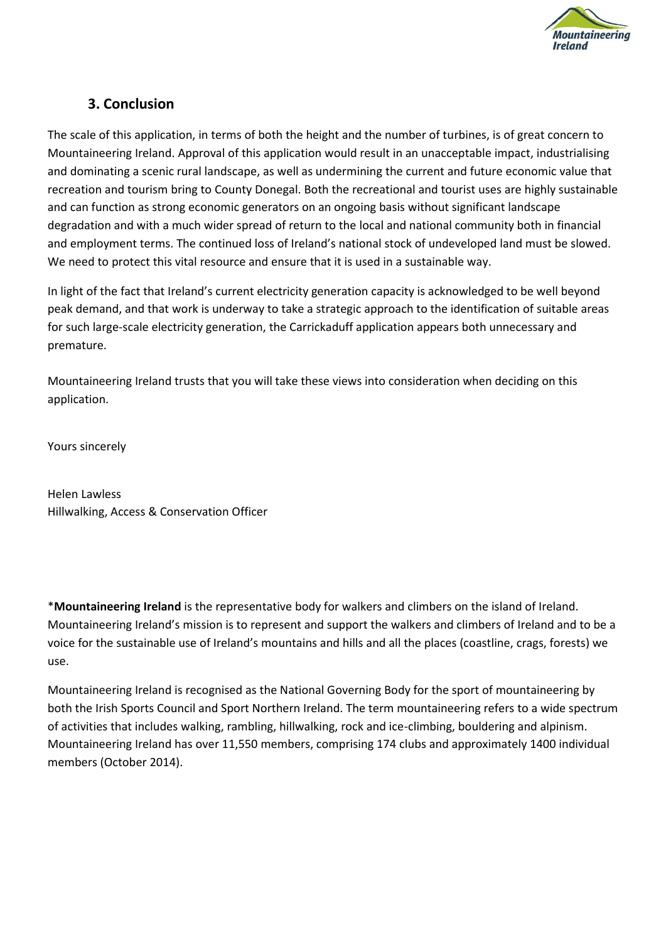

### **3. Conclusion**

The scale of this application, in terms of both the height and the number of turbines, is of great concern to Mountaineering Ireland. Approval of this application would result in an unacceptable impact, industrialising and dominating a scenic rural landscape, as well as undermining the current and future economic value that recreation and tourism bring to County Donegal. Both the recreational and tourist uses are highly sustainable and can function as strong economic generators on an ongoing basis without significant landscape degradation and with a much wider spread of return to the local and national community both in financial and employment terms. The continued loss of Ireland's national stock of undeveloped land must be slowed. We need to protect this vital resource and ensure that it is used in a sustainable way.

In light of the fact that Ireland's current electricity generation capacity is acknowledged to be well beyond peak demand, and that work is underway to take a strategic approach to the identification of suitable areas for such large-scale electricity generation, the Carrickaduff application appears both unnecessary and premature.

Mountaineering Ireland trusts that you will take these views into consideration when deciding on this application.

Yours sincerely

Helen Lawless Hillwalking, Access & Conservation Officer

\***Mountaineering Ireland** is the representative body for walkers and climbers on the island of Ireland. Mountaineering Ireland's mission is to represent and support the walkers and climbers of Ireland and to be a voice for the sustainable use of Ireland's mountains and hills and all the places (coastline, crags, forests) we use.

Mountaineering Ireland is recognised as the National Governing Body for the sport of mountaineering by both the Irish Sports Council and Sport Northern Ireland. The term mountaineering refers to a wide spectrum of activities that includes walking, rambling, hillwalking, rock and ice-climbing, bouldering and alpinism. Mountaineering Ireland has over 11,550 members, comprising 174 clubs and approximately 1400 individual members (October 2014).